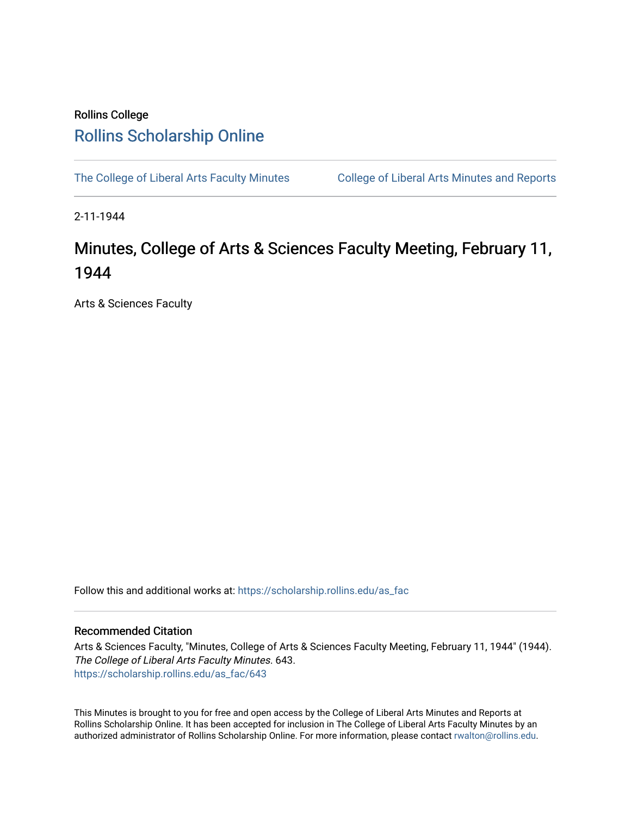## Rollins College [Rollins Scholarship Online](https://scholarship.rollins.edu/)

[The College of Liberal Arts Faculty Minutes](https://scholarship.rollins.edu/as_fac) College of Liberal Arts Minutes and Reports

2-11-1944

## Minutes, College of Arts & Sciences Faculty Meeting, February 11, 1944

Arts & Sciences Faculty

Follow this and additional works at: [https://scholarship.rollins.edu/as\\_fac](https://scholarship.rollins.edu/as_fac?utm_source=scholarship.rollins.edu%2Fas_fac%2F643&utm_medium=PDF&utm_campaign=PDFCoverPages) 

## Recommended Citation

Arts & Sciences Faculty, "Minutes, College of Arts & Sciences Faculty Meeting, February 11, 1944" (1944). The College of Liberal Arts Faculty Minutes. 643. [https://scholarship.rollins.edu/as\\_fac/643](https://scholarship.rollins.edu/as_fac/643?utm_source=scholarship.rollins.edu%2Fas_fac%2F643&utm_medium=PDF&utm_campaign=PDFCoverPages) 

This Minutes is brought to you for free and open access by the College of Liberal Arts Minutes and Reports at Rollins Scholarship Online. It has been accepted for inclusion in The College of Liberal Arts Faculty Minutes by an authorized administrator of Rollins Scholarship Online. For more information, please contact [rwalton@rollins.edu](mailto:rwalton@rollins.edu).